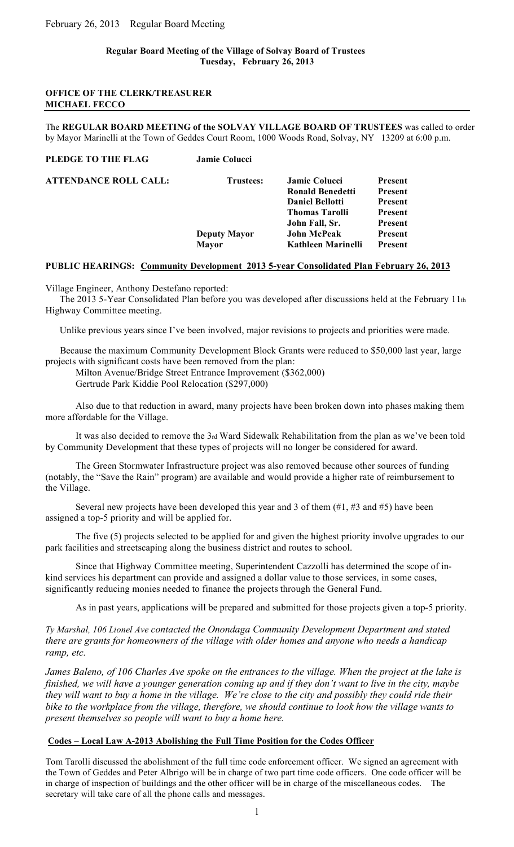# **Regular Board Meeting of the Village of Solvay Board of Trustees Tuesday, February 26, 2013**

# **OFFICE OF THE CLERK/TREASURER MICHAEL FECCO**

The **REGULAR BOARD MEETING of the SOLVAY VILLAGE BOARD OF TRUSTEES** was called to order by Mayor Marinelli at the Town of Geddes Court Room, 1000 Woods Road, Solvay, NY 13209 at 6:00 p.m.

**PLEDGE TO THE FLAG Jamie Colucci**

| ATTENDANCE ROLL CALL: | <b>Trustees:</b>    | <b>Jamie Colucci</b>    | <b>Present</b> |
|-----------------------|---------------------|-------------------------|----------------|
|                       |                     | <b>Ronald Benedetti</b> | <b>Present</b> |
|                       |                     | <b>Daniel Bellotti</b>  | <b>Present</b> |
|                       |                     | <b>Thomas Tarolli</b>   | <b>Present</b> |
|                       |                     | John Fall, Sr.          | <b>Present</b> |
|                       | <b>Deputy Mayor</b> | <b>John McPeak</b>      | <b>Present</b> |
|                       | Mayor               | Kathleen Marinelli      | <b>Present</b> |
|                       |                     |                         |                |

# **PUBLIC HEARINGS: Community Development 2013 5-year Consolidated Plan February 26, 2013**

Village Engineer, Anthony Destefano reported:

 The 2013 5-Year Consolidated Plan before you was developed after discussions held at the February 11th Highway Committee meeting.

Unlike previous years since I've been involved, major revisions to projects and priorities were made.

 Because the maximum Community Development Block Grants were reduced to \$50,000 last year, large projects with significant costs have been removed from the plan:

Milton Avenue/Bridge Street Entrance Improvement (\$362,000) Gertrude Park Kiddie Pool Relocation (\$297,000)

Also due to that reduction in award, many projects have been broken down into phases making them more affordable for the Village.

It was also decided to remove the 3rd Ward Sidewalk Rehabilitation from the plan as we've been told by Community Development that these types of projects will no longer be considered for award.

The Green Stormwater Infrastructure project was also removed because other sources of funding (notably, the "Save the Rain" program) are available and would provide a higher rate of reimbursement to the Village.

Several new projects have been developed this year and 3 of them  $(\#1, \#3 \text{ and } \#5)$  have been assigned a top-5 priority and will be applied for.

The five (5) projects selected to be applied for and given the highest priority involve upgrades to our park facilities and streetscaping along the business district and routes to school.

Since that Highway Committee meeting, Superintendent Cazzolli has determined the scope of inkind services his department can provide and assigned a dollar value to those services, in some cases, significantly reducing monies needed to finance the projects through the General Fund.

As in past years, applications will be prepared and submitted for those projects given a top-5 priority.

*Ty Marshal, 106 Lionel Ave contacted the Onondaga Community Development Department and stated there are grants for homeowners of the village with older homes and anyone who needs a handicap ramp, etc.*

*James Baleno, of 106 Charles Ave spoke on the entrances to the village. When the project at the lake is finished, we will have a younger generation coming up and if they don't want to live in the city, maybe they will want to buy a home in the village. We're close to the city and possibly they could ride their bike to the workplace from the village, therefore, we should continue to look how the village wants to present themselves so people will want to buy a home here.* 

# **Codes – Local Law A-2013 Abolishing the Full Time Position for the Codes Officer**

Tom Tarolli discussed the abolishment of the full time code enforcement officer. We signed an agreement with the Town of Geddes and Peter Albrigo will be in charge of two part time code officers. One code officer will be in charge of inspection of buildings and the other officer will be in charge of the miscellaneous codes. The secretary will take care of all the phone calls and messages.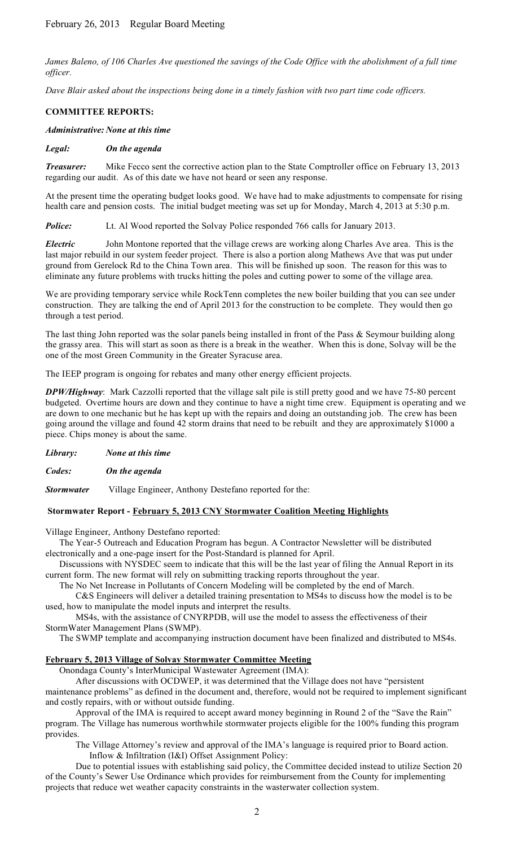James Baleno, of 106 Charles Ave questioned the savings of the Code Office with the abolishment of a full time *officer.*

*Dave Blair asked about the inspections being done in a timely fashion with two part time code officers.*

#### **COMMITTEE REPORTS:**

#### *Administrative: None at this time*

#### *Legal: On the agenda*

*Treasurer:* Mike Fecco sent the corrective action plan to the State Comptroller office on February 13, 2013 regarding our audit. As of this date we have not heard or seen any response.

At the present time the operating budget looks good. We have had to make adjustments to compensate for rising health care and pension costs. The initial budget meeting was set up for Monday, March 4, 2013 at 5:30 p.m.

**Police:** Lt. Al Wood reported the Solvay Police responded 766 calls for January 2013.

*Electric* John Montone reported that the village crews are working along Charles Ave area. This is the last major rebuild in our system feeder project. There is also a portion along Mathews Ave that was put under ground from Gerelock Rd to the China Town area. This will be finished up soon. The reason for this was to eliminate any future problems with trucks hitting the poles and cutting power to some of the village area.

We are providing temporary service while RockTenn completes the new boiler building that you can see under construction. They are talking the end of April 2013 for the construction to be complete. They would then go through a test period.

The last thing John reported was the solar panels being installed in front of the Pass & Seymour building along the grassy area. This will start as soon as there is a break in the weather. When this is done, Solvay will be the one of the most Green Community in the Greater Syracuse area.

The IEEP program is ongoing for rebates and many other energy efficient projects.

*DPW/Highway*: Mark Cazzolli reported that the village salt pile is still pretty good and we have 75-80 percent budgeted. Overtime hours are down and they continue to have a night time crew. Equipment is operating and we are down to one mechanic but he has kept up with the repairs and doing an outstanding job. The crew has been going around the village and found 42 storm drains that need to be rebuilt and they are approximately \$1000 a piece. Chips money is about the same.

| Library: | None at this time |  |  |
|----------|-------------------|--|--|
|          |                   |  |  |

*Codes: On the agenda*

*Stormwater* Village Engineer, Anthony Destefano reported for the:

# **Stormwater Report - February 5, 2013 CNY Stormwater Coalition Meeting Highlights**

Village Engineer, Anthony Destefano reported:

 The Year-5 Outreach and Education Program has begun. A Contractor Newsletter will be distributed electronically and a one-page insert for the Post-Standard is planned for April.

 Discussions with NYSDEC seem to indicate that this will be the last year of filing the Annual Report in its current form. The new format will rely on submitting tracking reports throughout the year.

The No Net Increase in Pollutants of Concern Modeling will be completed by the end of March.

C&S Engineers will deliver a detailed training presentation to MS4s to discuss how the model is to be used, how to manipulate the model inputs and interpret the results.

MS4s, with the assistance of CNYRPDB, will use the model to assess the effectiveness of their StormWater Management Plans (SWMP).

The SWMP template and accompanying instruction document have been finalized and distributed to MS4s.

# **February 5, 2013 Village of Solvay Stormwater Committee Meeting**

Onondaga County's InterMunicipal Wastewater Agreement (IMA):

After discussions with OCDWEP, it was determined that the Village does not have "persistent

maintenance problems" as defined in the document and, therefore, would not be required to implement significant and costly repairs, with or without outside funding.

Approval of the IMA is required to accept award money beginning in Round 2 of the "Save the Rain" program. The Village has numerous worthwhile stormwater projects eligible for the 100% funding this program provides.

The Village Attorney's review and approval of the IMA's language is required prior to Board action. Inflow & Infiltration (I&I) Offset Assignment Policy:

Due to potential issues with establishing said policy, the Committee decided instead to utilize Section 20 of the County's Sewer Use Ordinance which provides for reimbursement from the County for implementing projects that reduce wet weather capacity constraints in the wasterwater collection system.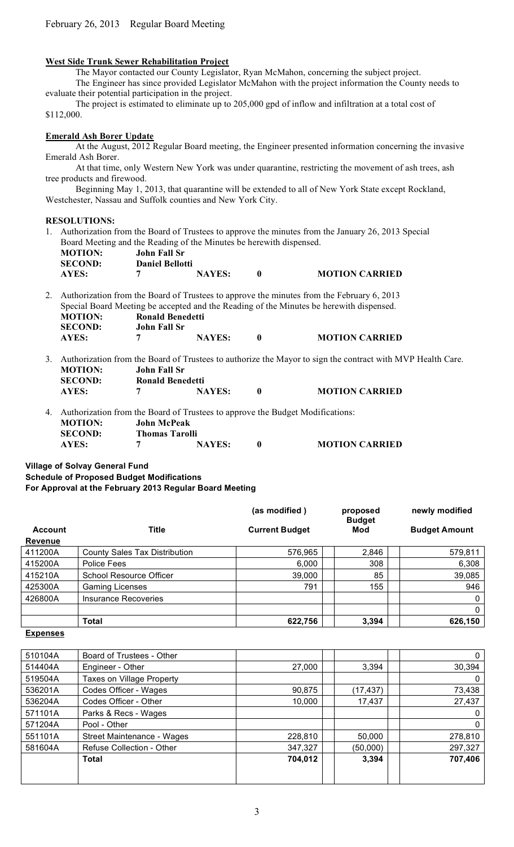# **West Side Trunk Sewer Rehabilitation Project**

The Mayor contacted our County Legislator, Ryan McMahon, concerning the subject project.

The Engineer has since provided Legislator McMahon with the project information the County needs to evaluate their potential participation in the project.

The project is estimated to eliminate up to 205,000 gpd of inflow and infiltration at a total cost of \$112,000.

# **Emerald Ash Borer Update**

At the August, 2012 Regular Board meeting, the Engineer presented information concerning the invasive Emerald Ash Borer.

At that time, only Western New York was under quarantine, restricting the movement of ash trees, ash tree products and firewood.

Beginning May 1, 2013, that quarantine will be extended to all of New York State except Rockland, Westchester, Nassau and Suffolk counties and New York City.

# **RESOLUTIONS:**

1. Authorization from the Board of Trustees to approve the minutes from the January 26, 2013 Special Board Meeting and the Reading of the Minutes be herewith dispensed.

| <b>MOTION:</b> | John Fall Sr           |               |
|----------------|------------------------|---------------|
| <b>SECOND:</b> | <b>Daniel Bellotti</b> |               |
| <b>AYES:</b>   |                        | <b>NAYES:</b> |

2. Authorization from the Board of Trustees to approve the minutes from the February 6, 2013 Special Board Meeting be accepted and the Reading of the Minutes be herewith dispensed. **MOTION: Ronald Benedetti**<br>**SECOND: John Fall Sr John Fall Sr AYES: 7 NAYES: 0 MOTION CARRIED**

3. Authorization from the Board of Trustees to authorize the Mayor to sign the contract with MVP Health Care. **MOTION: John Fall Sr SECOND: Ronald Benedetti**

**AYES: 7 NAYES: 0 MOTION CARRIED**

| <b>AYES:</b> | <b>NAYES:</b> | <b>MOTION CARRIED</b> |
|--------------|---------------|-----------------------|
|              |               |                       |

4. Authorization from the Board of Trustees to approve the Budget Modifications: **MOTION: John McPeak SECOND: Thomas Tarolli AYES: 7 NAYES: 0 MOTION CARRIED**

**Village of Solvay General Fund**

**Schedule of Proposed Budget Modifications**

**For Approval at the February 2013 Regular Board Meeting**

|                |                                | (as modified)         | proposed<br><b>Budget</b> | newly modified       |
|----------------|--------------------------------|-----------------------|---------------------------|----------------------|
| <b>Account</b> | Title                          | <b>Current Budget</b> | Mod                       | <b>Budget Amount</b> |
| Revenue        |                                |                       |                           |                      |
| 411200A        | County Sales Tax Distribution  | 576,965               | 2,846                     | 579,811              |
| 415200A        | Police Fees                    | 6,000                 | 308                       | 6,308                |
| 415210A        | <b>School Resource Officer</b> | 39,000                | 85                        | 39,085               |
| 425300A        | <b>Gaming Licenses</b>         | 791                   | 155                       | 946                  |
| 426800A        | <b>Insurance Recoveries</b>    |                       |                           | 0                    |
|                |                                |                       |                           | 0                    |
|                | Total                          | 622,756               | 3,394                     | 626,150              |

#### **Expenses**

| 510104A | Board of Trustees - Other  |         |          | 0        |
|---------|----------------------------|---------|----------|----------|
| 514404A | Engineer - Other           | 27,000  | 3.394    | 30,394   |
| 519504A | Taxes on Village Property  |         |          | 0        |
| 536201A | Codes Officer - Wages      | 90,875  | (17,437) | 73,438   |
| 536204A | Codes Officer - Other      | 10,000  | 17,437   | 27,437   |
| 571101A | Parks & Recs - Wages       |         |          | 0        |
| 571204A | Pool - Other               |         |          | $\Omega$ |
| 551101A | Street Maintenance - Wages | 228,810 | 50,000   | 278,810  |
| 581604A | Refuse Collection - Other  | 347,327 | (50,000) | 297,327  |
|         | Total                      | 704,012 | 3,394    | 707,406  |
|         |                            |         |          |          |
|         |                            |         |          |          |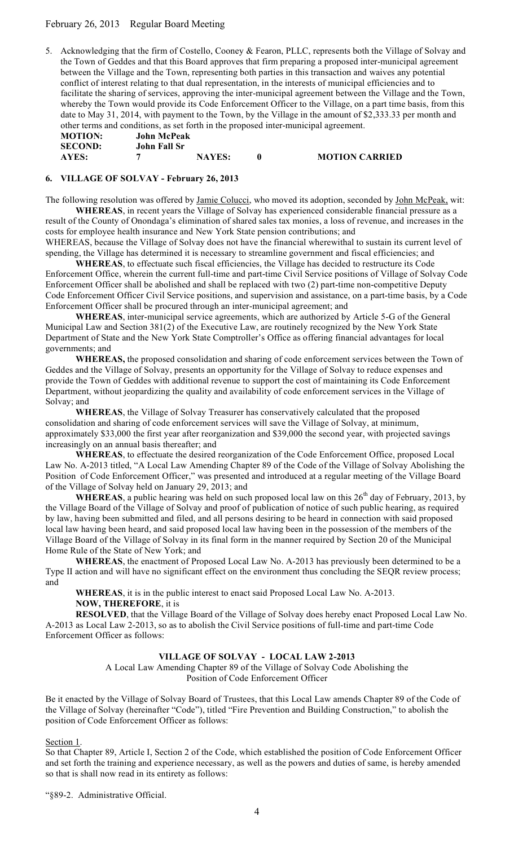# February 26, 2013 Regular Board Meeting

5. Acknowledging that the firm of Costello, Cooney & Fearon, PLLC, represents both the Village of Solvay and the Town of Geddes and that this Board approves that firm preparing a proposed inter-municipal agreement between the Village and the Town, representing both parties in this transaction and waives any potential conflict of interest relating to that dual representation, in the interests of municipal efficiencies and to facilitate the sharing of services, approving the inter-municipal agreement between the Village and the Town, whereby the Town would provide its Code Enforcement Officer to the Village, on a part time basis, from this date to May 31, 2014, with payment to the Town, by the Village in the amount of \$2,333.33 per month and other terms and conditions, as set forth in the proposed inter-municipal agreement.

| <b>MOTION:</b> | <b>John McPeak</b> |               |
|----------------|--------------------|---------------|
| <b>SECOND:</b> | John Fall Sr       |               |
| AYES:          |                    | <b>NAYES:</b> |

**AYES: 7 NAYES: 0 MOTION CARRIED**

# **6. VILLAGE OF SOLVAY - February 26, 2013**

The following resolution was offered by Jamie Colucci, who moved its adoption, seconded by John McPeak, wit: **WHEREAS**, in recent years the Village of Solvay has experienced considerable financial pressure as a result of the County of Onondaga's elimination of shared sales tax monies, a loss of revenue, and increases in the costs for employee health insurance and New York State pension contributions; and

WHEREAS, because the Village of Solvay does not have the financial wherewithal to sustain its current level of spending, the Village has determined it is necessary to streamline government and fiscal efficiencies; and

**WHEREAS**, to effectuate such fiscal efficiencies, the Village has decided to restructure its Code Enforcement Office, wherein the current full-time and part-time Civil Service positions of Village of Solvay Code Enforcement Officer shall be abolished and shall be replaced with two (2) part-time non-competitive Deputy Code Enforcement Officer Civil Service positions, and supervision and assistance, on a part-time basis, by a Code Enforcement Officer shall be procured through an inter-municipal agreement; and

**WHEREAS**, inter-municipal service agreements, which are authorized by Article 5-G of the General Municipal Law and Section 381(2) of the Executive Law, are routinely recognized by the New York State Department of State and the New York State Comptroller's Office as offering financial advantages for local governments; and

**WHEREAS,** the proposed consolidation and sharing of code enforcement services between the Town of Geddes and the Village of Solvay, presents an opportunity for the Village of Solvay to reduce expenses and provide the Town of Geddes with additional revenue to support the cost of maintaining its Code Enforcement Department, without jeopardizing the quality and availability of code enforcement services in the Village of Solvay; and

**WHEREAS**, the Village of Solvay Treasurer has conservatively calculated that the proposed consolidation and sharing of code enforcement services will save the Village of Solvay, at minimum, approximately \$33,000 the first year after reorganization and \$39,000 the second year, with projected savings increasingly on an annual basis thereafter; and

**WHEREAS**, to effectuate the desired reorganization of the Code Enforcement Office, proposed Local Law No. A-2013 titled, "A Local Law Amending Chapter 89 of the Code of the Village of Solvay Abolishing the Position of Code Enforcement Officer," was presented and introduced at a regular meeting of the Village Board of the Village of Solvay held on January 29, 2013; and

**WHEREAS**, a public hearing was held on such proposed local law on this  $26<sup>th</sup>$  day of February, 2013, by the Village Board of the Village of Solvay and proof of publication of notice of such public hearing, as required by law, having been submitted and filed, and all persons desiring to be heard in connection with said proposed local law having been heard, and said proposed local law having been in the possession of the members of the Village Board of the Village of Solvay in its final form in the manner required by Section 20 of the Municipal Home Rule of the State of New York; and

**WHEREAS**, the enactment of Proposed Local Law No. A-2013 has previously been determined to be a Type II action and will have no significant effect on the environment thus concluding the SEQR review process; and

**WHEREAS**, it is in the public interest to enact said Proposed Local Law No. A-2013. **NOW, THEREFORE**, it is

**RESOLVED**, that the Village Board of the Village of Solvay does hereby enact Proposed Local Law No. A-2013 as Local Law 2-2013, so as to abolish the Civil Service positions of full-time and part-time Code Enforcement Officer as follows:

# **VILLAGE OF SOLVAY - LOCAL LAW 2-2013**

A Local Law Amending Chapter 89 of the Village of Solvay Code Abolishing the Position of Code Enforcement Officer

Be it enacted by the Village of Solvay Board of Trustees, that this Local Law amends Chapter 89 of the Code of the Village of Solvay (hereinafter "Code"), titled "Fire Prevention and Building Construction," to abolish the position of Code Enforcement Officer as follows:

# Section 1.

So that Chapter 89, Article I, Section 2 of the Code, which established the position of Code Enforcement Officer and set forth the training and experience necessary, as well as the powers and duties of same, is hereby amended so that is shall now read in its entirety as follows:

"§89-2. Administrative Official.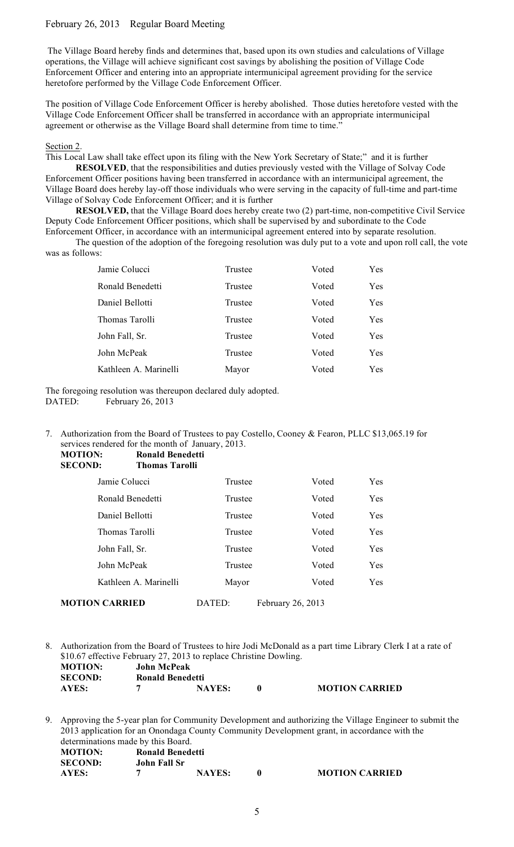# February 26, 2013 Regular Board Meeting

 The Village Board hereby finds and determines that, based upon its own studies and calculations of Village operations, the Village will achieve significant cost savings by abolishing the position of Village Code Enforcement Officer and entering into an appropriate intermunicipal agreement providing for the service heretofore performed by the Village Code Enforcement Officer.

The position of Village Code Enforcement Officer is hereby abolished. Those duties heretofore vested with the Village Code Enforcement Officer shall be transferred in accordance with an appropriate intermunicipal agreement or otherwise as the Village Board shall determine from time to time."

Section 2.

This Local Law shall take effect upon its filing with the New York Secretary of State;" and it is further

**RESOLVED**, that the responsibilities and duties previously vested with the Village of Solvay Code Enforcement Officer positions having been transferred in accordance with an intermunicipal agreement, the Village Board does hereby lay-off those individuals who were serving in the capacity of full-time and part-time Village of Solvay Code Enforcement Officer; and it is further

**RESOLVED,** that the Village Board does hereby create two (2) part-time, non-competitive Civil Service Deputy Code Enforcement Officer positions, which shall be supervised by and subordinate to the Code Enforcement Officer, in accordance with an intermunicipal agreement entered into by separate resolution.

The question of the adoption of the foregoing resolution was duly put to a vote and upon roll call, the vote was as follows:

| Jamie Colucci         | Trustee | Voted | Yes |
|-----------------------|---------|-------|-----|
| Ronald Benedetti      | Trustee | Voted | Yes |
| Daniel Bellotti       | Trustee | Voted | Yes |
| Thomas Tarolli        | Trustee | Voted | Yes |
| John Fall, Sr.        | Trustee | Voted | Yes |
| John McPeak           | Trustee | Voted | Yes |
| Kathleen A. Marinelli | Mayor   | Voted | Yes |

The foregoing resolution was thereupon declared duly adopted. DATED: February 26, 2013

7. Authorization from the Board of Trustees to pay Costello, Cooney & Fearon, PLLC \$13,065.19 for services rendered for the month of January, 2013.<br>MOTION: **Banald Banadatti MOTION:** 

| MUTIUN:<br><b>SECOND:</b> | KONAIG BEHEGELI<br><b>Thomas Tarolli</b> |         |                   |            |
|---------------------------|------------------------------------------|---------|-------------------|------------|
|                           | Jamie Colucci                            | Trustee | Voted             | Yes        |
|                           | Ronald Benedetti                         | Trustee | Voted             | Yes        |
|                           | Daniel Bellotti                          | Trustee | Voted             | <b>Yes</b> |
|                           | Thomas Tarolli                           | Trustee | Voted             | Yes        |
|                           | John Fall, Sr.                           | Trustee | Voted             | Yes        |
|                           | John McPeak                              | Trustee | Voted             | Yes        |
|                           | Kathleen A. Marinelli                    | Mayor   | Voted             | Yes        |
| <b>MOTION CARRIED</b>     |                                          | DATED:  | February 26, 2013 |            |

8. Authorization from the Board of Trustees to hire Jodi McDonald as a part time Library Clerk I at a rate of \$10.67 effective February 27, 2013 to replace Christine Dowling. **MOTION: John McPeak SECOND: Ronald Benedetti AYES: 7 NAYES: 0 MOTION CARRIED**

9. Approving the 5-year plan for Community Development and authorizing the Village Engineer to submit the 2013 application for an Onondaga County Community Development grant, in accordance with the determinations made by this Board. **MOTION: Ronald Benedetti**

| <b>SECOND:</b> | John Fall Sr |               |                       |
|----------------|--------------|---------------|-----------------------|
| AYES:          |              | <b>NAYES:</b> | <b>MOTION CARRIED</b> |